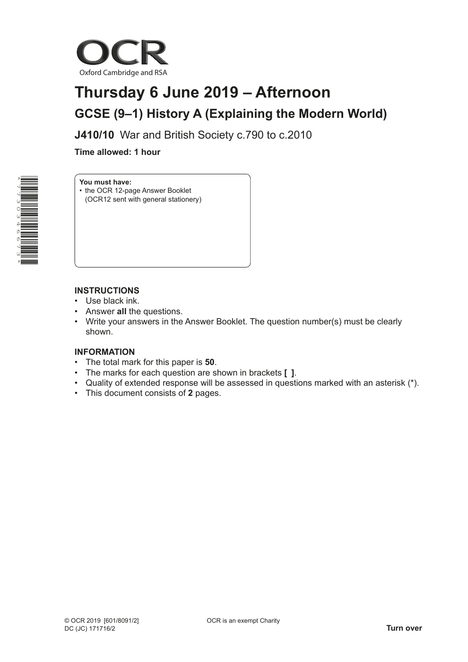

# **Thursday 6 June 2019 – Afternoon GCSE (9–1) History A (Explaining the Modern World)**

**J410/10** War and British Society c.790 to c.2010

**Time allowed: 1 hour**



## **You must have:**

• the OCR 12-page Answer Booklet (OCR12 sent with general stationery)

### **INSTRUCTIONS**

- Use black ink.
- Answer **all** the questions.
- Write your answers in the Answer Booklet. The question number(s) must be clearly shown.

#### **INFORMATION**

- The total mark for this paper is **50**.
- The marks for each question are shown in brackets **[ ]**.
- Quality of extended response will be assessed in questions marked with an asterisk (\*).
- This document consists of **2** pages.